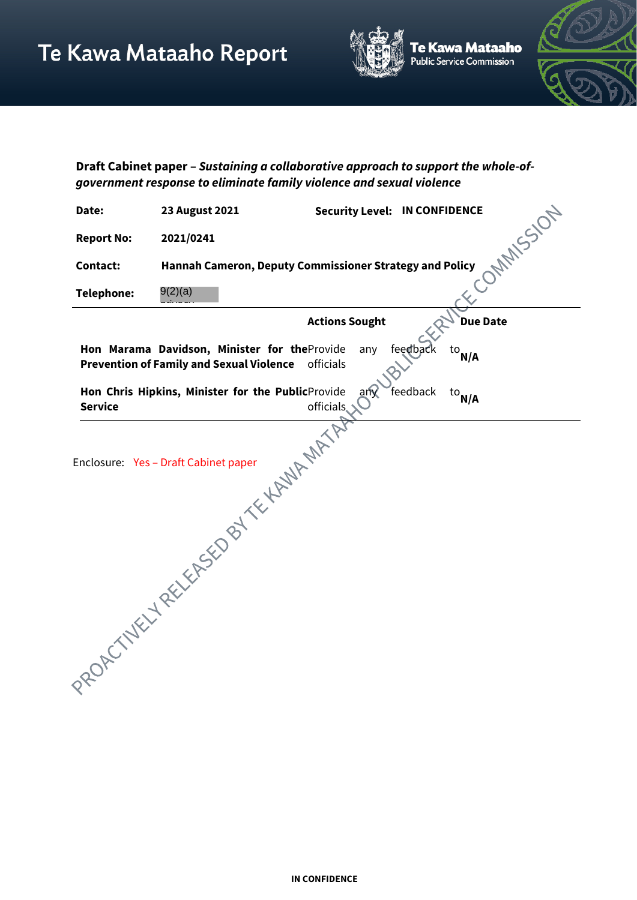

Te Kawa Mataaho<br>Public Service Commission



**Draft Cabinet paper –** *Sustaining a collaborative approach to support the whole-ofgovernment response to eliminate family violence and sexual violence*

| Date:             | <b>23 August 2021</b>                                                                           | <b>Security Level: IN CONFIDENCE</b> |                  |
|-------------------|-------------------------------------------------------------------------------------------------|--------------------------------------|------------------|
| <b>Report No:</b> | 2021/0241                                                                                       |                                      | <b>MAINSSION</b> |
| <b>Contact:</b>   | Hannah Cameron, Deputy Commissioner Strategy and Policy                                         |                                      |                  |
| <b>Telephone:</b> | 9(2)(a)                                                                                         |                                      |                  |
|                   |                                                                                                 | <b>Actions Sought</b>                | <b>Due Date</b>  |
|                   | Hon Marama Davidson, Minister for theProvide<br><b>Prevention of Family and Sexual Violence</b> | feedback<br>any<br>officials         | $^{\rm{to}}$ N/A |
| <b>Service</b>    | Hon Chris Hipkins, Minister for the PublicProvide                                               | feedback<br>$an\theta$<br>officials. | $^{\rm{to}}$ N/A |
|                   |                                                                                                 |                                      |                  |
|                   | Hicials Indicates the SED BY THE MANUFACTURITY                                                  |                                      |                  |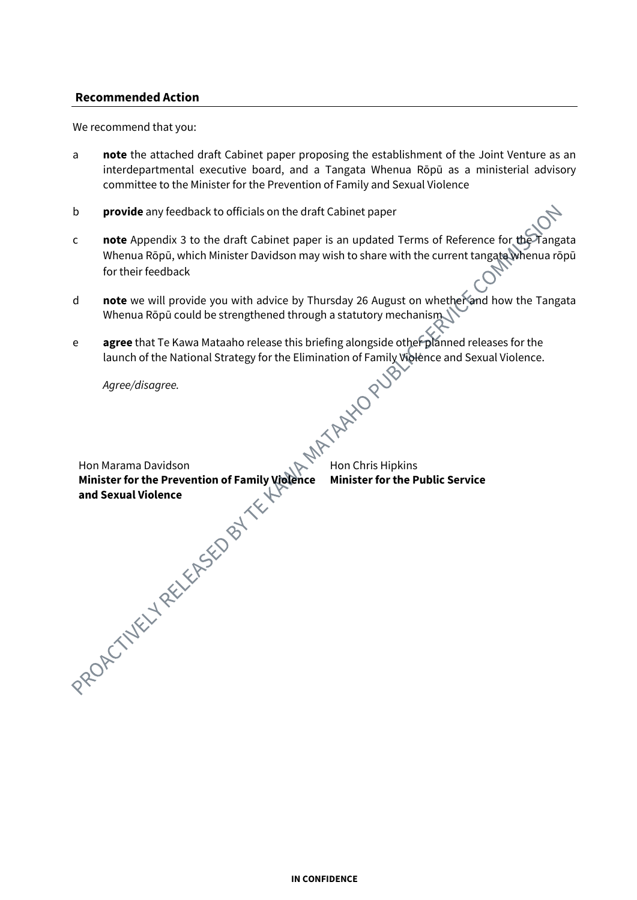### **Recommended Action**

We recommend that you:

- a **note** the attached draft Cabinet paper proposing the establishment of the Joint Venture as an interdepartmental executive board, and a Tangata Whenua Rōpū as a ministerial advisory committee to the Minister for the Prevention of Family and Sexual Violence
- b **provide** any feedback to officials on the draft Cabinet paper
- c **note** Appendix 3 to the draft Cabinet paper is an updated Terms of Reference for the Tangata Whenua Rōpū, which Minister Davidson may wish to share with the current tangata whenua rōpū for their feedback
- d **note** we will provide you with advice by Thursday 26 August on whether and how the Tangata Whenua Rōpū could be strengthened through a statutory mechanism
- **agree** that Te Kawa Mataaho release this briefing alongside other planned releases for the launch of the National Strategy for the Elimination of Family Violence and Sexual Violence.<br>Agree/disagree. launch of the National Strategy for the Elimination of Family Violence and Sexual Violence.

*Agree/disagree.*

Hon Marama Davidson **Minister for the Prevention of Family Violence Minister for the Public Serviceand Sexual Violence** 

Hon Chris Hipkins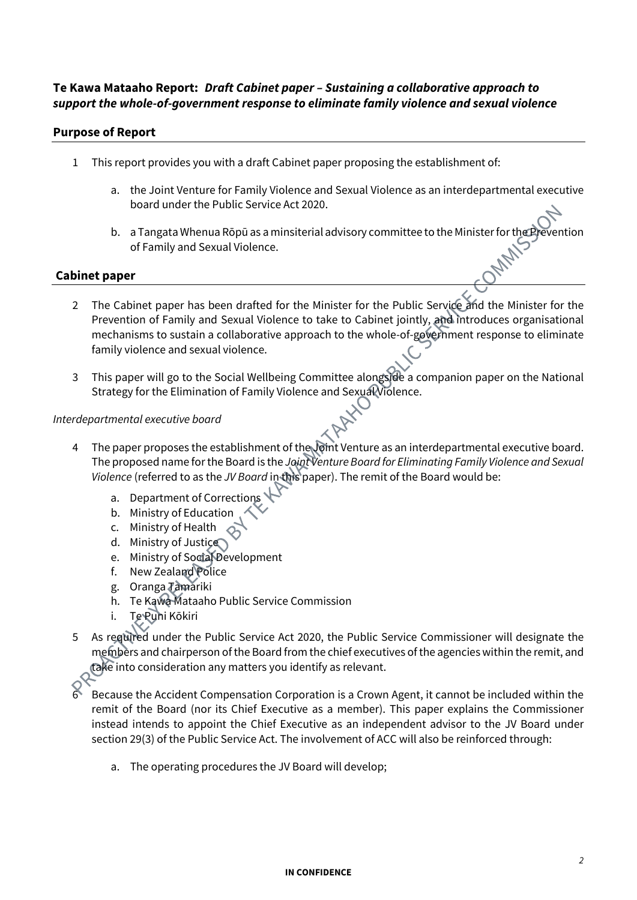# **Te Kawa Mataaho Report:** *Draft Cabinet paper – Sustaining a collaborative approach to support the whole-of-government response to eliminate family violence and sexual violence*

# **Purpose of Report**

- 1 This report provides you with a draft Cabinet paper proposing the establishment of:
	- a. the Joint Venture for Family Violence and Sexual Violence as an interdepartmental executive board under the Public Service Act 2020.
	- b. a Tangata Whenua Rōpū as a minsiterial advisory committee to the Minister for the Prevention of Family and Sexual Violence.

# **Cabinet paper**

- 2 The Cabinet paper has been drafted for the Minister for the Public Service and the Minister for the Prevention of Family and Sexual Violence to take to Cabinet jointly, and introduces organisational mechanisms to sustain a collaborative approach to the whole-of-government response to eliminate family violence and sexual violence.
- 3 This paper will go to the Social Wellbeing Committee alongside a companion paper on the National Strategy for the Elimination of Family Violence and Sexual Violence.

#### *Interdepartmental executive board*

- The paper proposes the establishment of the Joint Venture as an interdepartmental executive board. The proposed name for the Board is the *Joint Venture Board for Eliminating Family Violence and Sexual Violence* (referred to as the *JV Board* in this paper). The remit of the Board would be:
	- a. Department of Corrections
	- b. Ministry of Education
	- c. Ministry of Health
	- d. Ministry of Justice
	- e. Ministry of Social Development
	- f. New Zealand Police
	- g. Oranga Tamariki
	- h. Te Kawa Mataaho Public Service Commission
	- i. Te Puni Kōkiri
- 5 As required under the Public Service Act 2020, the Public Service Commissioner will designate the members and chairperson of the Board from the chief executives of the agencies within the remit, and take into consideration any matters you identify as relevant.
- 6 Because the Accident Compensation Corporation is a Crown Agent, it cannot be included within the remit of the Board (nor its Chief Executive as a member). This paper explains the Commissioner instead intends to appoint the Chief Executive as an independent advisor to the JV Board under section 29(3) of the Public Service Act. The involvement of ACC will also be reinforced through:
	- a. The operating procedures the JV Board will develop;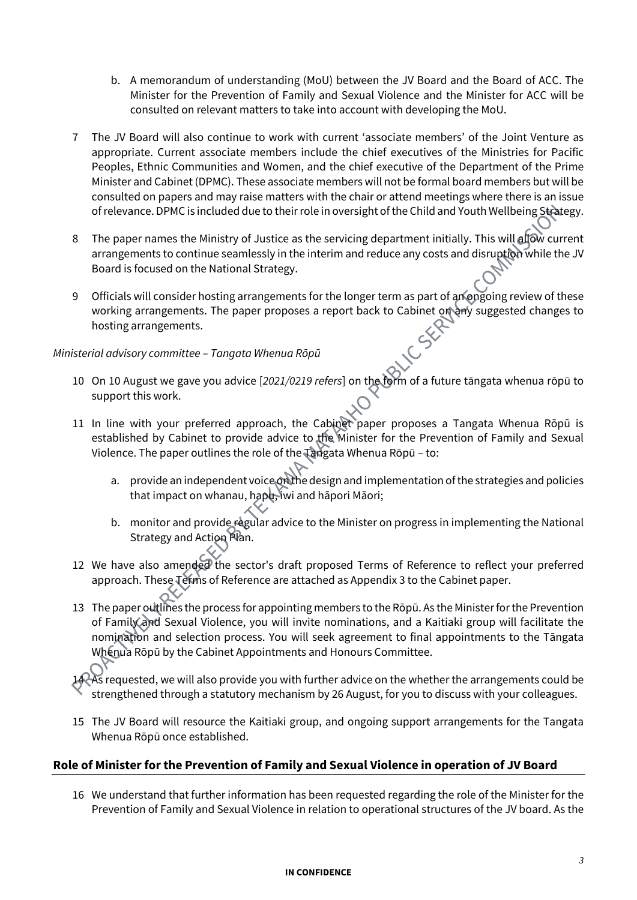- b. A memorandum of understanding (MoU) between the JV Board and the Board of ACC. The Minister for the Prevention of Family and Sexual Violence and the Minister for ACC will be consulted on relevant matters to take into account with developing the MoU.
- 7 The JV Board will also continue to work with current 'associate members' of the Joint Venture as appropriate. Current associate members include the chief executives of the Ministries for Pacific Peoples, Ethnic Communities and Women, and the chief executive of the Department of the Prime Minister and Cabinet (DPMC). These associate members will not be formal board members but will be consulted on papers and may raise matters with the chair or attend meetings where there is an issue of relevance. DPMC is included due to their role in oversight of the Child and Youth Wellbeing Strategy.
- 8 The paper names the Ministry of Justice as the servicing department initially. This will allow current arrangements to continue seamlessly in the interim and reduce any costs and disruption while the JV Board is focused on the National Strategy.
- 9 Officials will consider hosting arrangements for the longer term as part of an ongoing review of these working arrangements. The paper proposes a report back to Cabinet on any suggested changes to hosting arrangements.

# *Ministerial advisory committee – Tangata Whenua Rōpū*

- 10 On 10 August we gave you advice [*2021/0219 refers*] on the form of a future tāngata whenua rōpū to support this work.
- 11 In line with your preferred approach, the Cabinet paper proposes a Tangata Whenua Rōpū is established by Cabinet to provide advice to the Minister for the Prevention of Family and Sexual Violence. The paper outlines the role of the Tangata Whenua Rōpū – to:
	- a. provide an independent voice on the design and implementation of the strategies and policies that impact on whanau, hapu, iwi and hāpori Māori;
	- b. monitor and provide regular advice to the Minister on progress in implementing the National Strategy and Action Plan.
- 12 We have also amended the sector's draft proposed Terms of Reference to reflect your preferred approach. These Terms of Reference are attached as Appendix 3 to the Cabinet paper.
- 13 The paper outlines the process for appointing members to the Rōpū. As the Minister for the Prevention of Family and Sexual Violence, you will invite nominations, and a Kaitiaki group will facilitate the nomination and selection process. You will seek agreement to final appointments to the Tāngata Whenua Rōpū by the Cabinet Appointments and Honours Committee.

As requested, we will also provide you with further advice on the whether the arrangements could be strengthened through a statutory mechanism by 26 August, for you to discuss with your colleagues.

15 The JV Board will resource the Kaitiaki group, and ongoing support arrangements for the Tangata Whenua Rōpū once established.

# **Role of Minister for the Prevention of Family and Sexual Violence in operation of JV Board**

16 We understand that further information has been requested regarding the role of the Minister for the Prevention of Family and Sexual Violence in relation to operational structures of the JV board. As the

#### **IN CONFIDENCE**